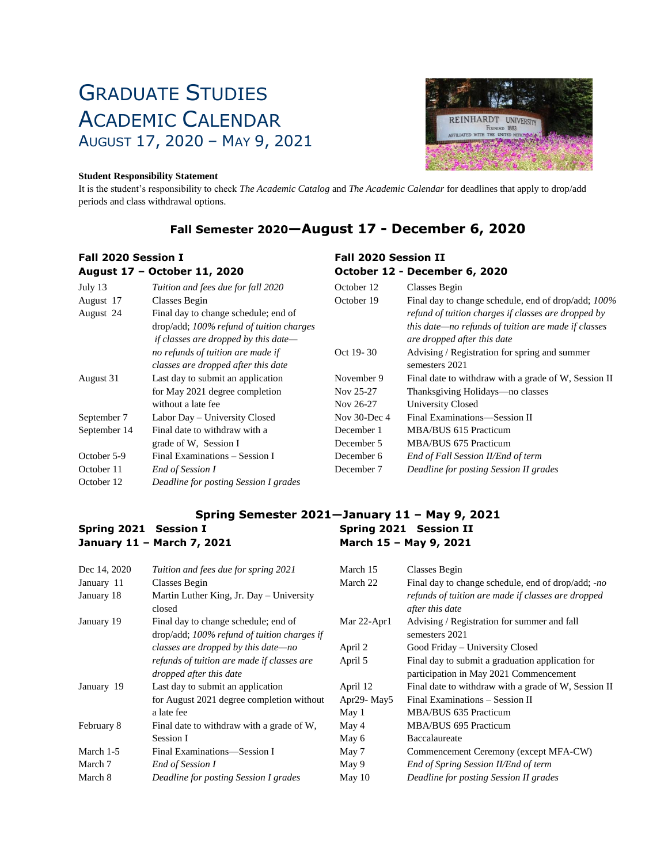# GRADUATE STUDIES ACADEMIC CALENDAR AUGUST 17, 2020 – MAY 9, 2021

### **Student Responsibility Statement**

It is the student's responsibility to check *The Academic Catalog* and *The Academic Calendar* for deadlines that apply to drop/add periods and class withdrawal options.

### **Fall Semester 2020—August 17 - December 6, 2020**

#### **Fall 2020 Session I August 17 – October 11, 2020 Fall 2020 Session II October 12 - December 6, 2020** July 13 August 17 August 24 August 31 September 7 September 14 October 5-9 October 11 October 12 *Tuition and fees due for fall 2020* Classes Begin Final day to change schedule; end of drop/add; *100% refund of tuition charges if classes are dropped by this date no refunds of tuition are made if classes are dropped after this date* Last day to submit an application for May 2021 degree completion without a late fee Labor Day – University Closed Final date to withdraw with a grade of W, Session I Final Examinations – Session I *End of Session I Deadline for posting Session I grades* October 12 October 19 Oct 19- 30 November 9 Nov 25-27 Nov 26-27 Nov 30-Dec 4 December 1 December 5 December 6 December 7 Classes Begin Final day to change schedule, end of drop/add; *100% refund of tuition charges if classes are dropped by this date—no refunds of tuition are made if classes are dropped after this date* Advising / Registration for spring and summer semesters 2021 Final date to withdraw with a grade of W, Session II Thanksgiving Holidays—no classes University Closed Final Examinations—Session II MBA/BUS 615 Practicum MBA/BUS 675 Practicum *End of Fall Session II/End of term Deadline for posting Session II grades*

#### **Spring Semester 2021—January 11 – May 9, 2021 Spring 2021 Session I January 11 – March 7, 2021 Spring 2021 Session II March 15 – May 9, 2021**

| Dec 14, 2020 | Tuition and fees due for spring 2021                                                   | March 15                            | Classes Begin                                                         |
|--------------|----------------------------------------------------------------------------------------|-------------------------------------|-----------------------------------------------------------------------|
| January 11   | Classes Begin                                                                          | March 22                            | Final day to change schedule, end of drop/add; -no                    |
| January 18   | Martin Luther King, Jr. Day – University<br>closed                                     |                                     | refunds of tuition are made if classes are dropped<br>after this date |
| January 19   | Final day to change schedule; end of<br>$drop/add$ ; 100% refund of tuition charges if | Mar $22$ -Apr $1$                   | Advising / Registration for summer and fall<br>semesters 2021         |
|              | classes are dropped by this date—no                                                    | April 2                             | Good Friday – University Closed                                       |
|              | refunds of tuition are made if classes are                                             | April 5                             | Final day to submit a graduation application for                      |
|              | dropped after this date                                                                |                                     | participation in May 2021 Commencement                                |
| January 19   | Last day to submit an application                                                      | April 12                            | Final date to withdraw with a grade of W, Session II                  |
|              | for August 2021 degree completion without                                              | Apr <sub>29</sub> -May <sub>5</sub> | Final Examinations – Session II                                       |
|              | a late fee                                                                             | May 1                               | MBA/BUS 635 Practicum                                                 |
| February 8   | Final date to withdraw with a grade of W,                                              | May 4                               | MBA/BUS 695 Practicum                                                 |
|              | Session I                                                                              | May 6                               | Baccalaureate                                                         |
| March 1-5    | Final Examinations—Session I                                                           | May 7                               | Commencement Ceremony (except MFA-CW)                                 |
| March 7      | End of Session I                                                                       | May 9                               | End of Spring Session II/End of term                                  |
| March 8      | Deadline for posting Session I grades                                                  | May $10$                            | Deadline for posting Session II grades                                |
|              |                                                                                        |                                     |                                                                       |